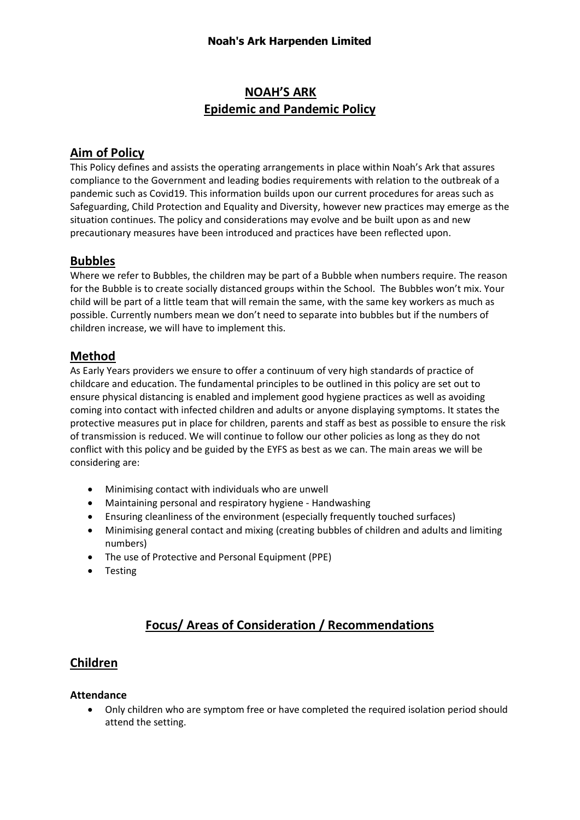# **NOAH'S ARK Epidemic and Pandemic Policy**

# **Aim of Policy**

This Policy defines and assists the operating arrangements in place within Noah's Ark that assures compliance to the Government and leading bodies requirements with relation to the outbreak of a pandemic such as Covid19. This information builds upon our current procedures for areas such as Safeguarding, Child Protection and Equality and Diversity, however new practices may emerge as the situation continues. The policy and considerations may evolve and be built upon as and new precautionary measures have been introduced and practices have been reflected upon.

## **Bubbles**

Where we refer to Bubbles, the children may be part of a Bubble when numbers require. The reason for the Bubble is to create socially distanced groups within the School. The Bubbles won't mix. Your child will be part of a little team that will remain the same, with the same key workers as much as possible. Currently numbers mean we don't need to separate into bubbles but if the numbers of children increase, we will have to implement this.

# **Method**

As Early Years providers we ensure to offer a continuum of very high standards of practice of childcare and education. The fundamental principles to be outlined in this policy are set out to ensure physical distancing is enabled and implement good hygiene practices as well as avoiding coming into contact with infected children and adults or anyone displaying symptoms. It states the protective measures put in place for children, parents and staff as best as possible to ensure the risk of transmission is reduced. We will continue to follow our other policies as long as they do not conflict with this policy and be guided by the EYFS as best as we can. The main areas we will be considering are:

- Minimising contact with individuals who are unwell
- Maintaining personal and respiratory hygiene Handwashing
- Ensuring cleanliness of the environment (especially frequently touched surfaces)
- Minimising general contact and mixing (creating bubbles of children and adults and limiting numbers)
- The use of Protective and Personal Equipment (PPE)
- Testing

# **Focus/ Areas of Consideration / Recommendations**

# **Children**

#### **Attendance**

• Only children who are symptom free or have completed the required isolation period should attend the setting.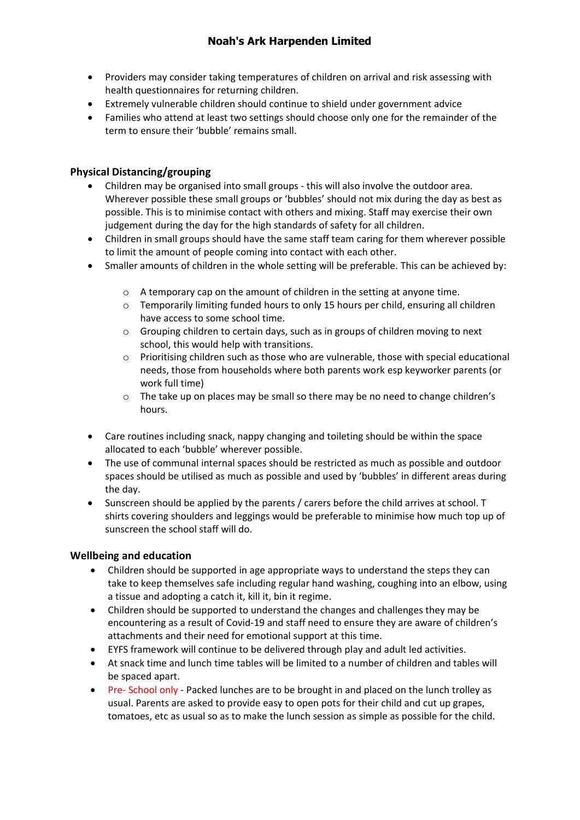- Providers may consider taking temperatures of children on arrival and risk assessing with health questionnaires for returning children.
- Extremely vulnerable children should continue to shield under government advice
- Families who attend at least two settings should choose only one for the remainder of the term to ensure their 'bubble' remains small.

### **Physical Distancing/grouping**

- Children may be organised into small groups this will also involve the outdoor area. Wherever possible these small groups or 'bubbles' should not mix during the day as best as possible. This is to minimise contact with others and mixing. Staff may exercise their own judgement during the day for the high standards of safety for all children.
- Children in small groups should have the same staff team caring for them wherever possible to limit the amount of people coming into contact with each other.
- Smaller amounts of children in the whole setting will be preferable. This can be achieved by:
	- o A temporary cap on the amount of children in the setting at anyone time.
	- $\circ$  Temporarily limiting funded hours to only 15 hours per child, ensuring all children have access to some school time.
	- o Grouping children to certain days, such as in groups of children moving to next school, this would help with transitions.
	- $\circ$  Prioritising children such as those who are vulnerable, those with special educational needs, those from households where both parents work esp keyworker parents (or work full time)
	- $\circ$  The take up on places may be small so there may be no need to change children's hours.
- Care routines including snack, nappy changing and toileting should be within the space allocated to each 'bubble' wherever possible.
- The use of communal internal spaces should be restricted as much as possible and outdoor spaces should be utilised as much as possible and used by 'bubbles' in different areas during the day.
- Sunscreen should be applied by the parents / carers before the child arrives at school. T shirts covering shoulders and leggings would be preferable to minimise how much top up of sunscreen the school staff will do.

### **Wellbeing and education**

- Children should be supported in age appropriate ways to understand the steps they can take to keep themselves safe including regular hand washing, coughing into an elbow, using a tissue and adopting a catch it, kill it, bin it regime.
- Children should be supported to understand the changes and challenges they may be encountering as a result of Covid-19 and staff need to ensure they are aware of children's attachments and their need for emotional support at this time.
- EYFS framework will continue to be delivered through play and adult led activities.
- At snack time and lunch time tables will be limited to a number of children and tables will be spaced apart.
- Pre- School only Packed lunches are to be brought in and placed on the lunch trolley as usual. Parents are asked to provide easy to open pots for their child and cut up grapes, tomatoes, etc as usual so as to make the lunch session as simple as possible for the child.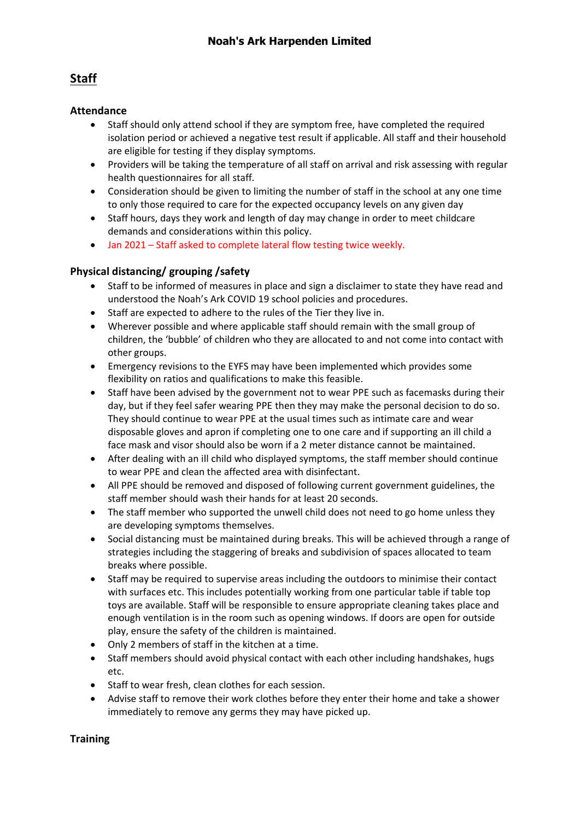# **Staff**

### **Attendance**

- Staff should only attend school if they are symptom free, have completed the required isolation period or achieved a negative test result if applicable. All staff and their household are eligible for testing if they display symptoms.
- Providers will be taking the temperature of all staff on arrival and risk assessing with regular health questionnaires for all staff.
- Consideration should be given to limiting the number of staff in the school at any one time to only those required to care for the expected occupancy levels on any given day
- Staff hours, days they work and length of day may change in order to meet childcare demands and considerations within this policy.
- Jan 2021 Staff asked to complete lateral flow testing twice weekly.

### **Physical distancing/ grouping /safety**

- Staff to be informed of measures in place and sign a disclaimer to state they have read and understood the Noah's Ark COVID 19 school policies and procedures.
- Staff are expected to adhere to the rules of the Tier they live in.
- Wherever possible and where applicable staff should remain with the small group of children, the 'bubble' of children who they are allocated to and not come into contact with other groups.
- Emergency revisions to the EYFS may have been implemented which provides some flexibility on ratios and qualifications to make this feasible.
- Staff have been advised by the government not to wear PPE such as facemasks during their day, but if they feel safer wearing PPE then they may make the personal decision to do so. They should continue to wear PPE at the usual times such as intimate care and wear disposable gloves and apron if completing one to one care and if supporting an ill child a face mask and visor should also be worn if a 2 meter distance cannot be maintained.
- After dealing with an ill child who displayed symptoms, the staff member should continue to wear PPE and clean the affected area with disinfectant.
- All PPE should be removed and disposed of following current government guidelines, the staff member should wash their hands for at least 20 seconds.
- The staff member who supported the unwell child does not need to go home unless they are developing symptoms themselves.
- Social distancing must be maintained during breaks. This will be achieved through a range of strategies including the staggering of breaks and subdivision of spaces allocated to team breaks where possible.
- Staff may be required to supervise areas including the outdoors to minimise their contact with surfaces etc. This includes potentially working from one particular table if table top toys are available. Staff will be responsible to ensure appropriate cleaning takes place and enough ventilation is in the room such as opening windows. If doors are open for outside play, ensure the safety of the children is maintained.
- Only 2 members of staff in the kitchen at a time.
- Staff members should avoid physical contact with each other including handshakes, hugs etc.
- Staff to wear fresh, clean clothes for each session.
- Advise staff to remove their work clothes before they enter their home and take a shower immediately to remove any germs they may have picked up.

#### **Training**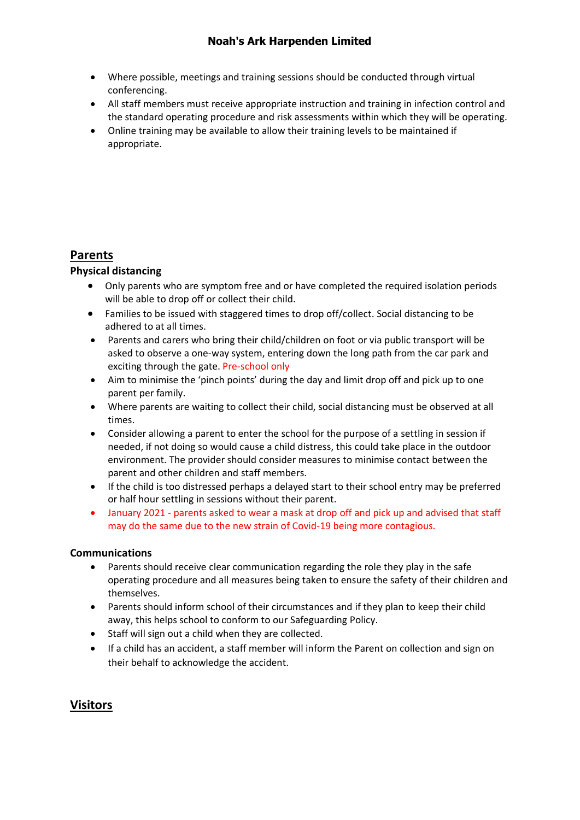- Where possible, meetings and training sessions should be conducted through virtual conferencing.
- All staff members must receive appropriate instruction and training in infection control and the standard operating procedure and risk assessments within which they will be operating.
- Online training may be available to allow their training levels to be maintained if appropriate.

# **Parents**

### **Physical distancing**

- Only parents who are symptom free and or have completed the required isolation periods will be able to drop off or collect their child.
- Families to be issued with staggered times to drop off/collect. Social distancing to be adhered to at all times.
- Parents and carers who bring their child/children on foot or via public transport will be asked to observe a one-way system, entering down the long path from the car park and exciting through the gate. Pre-school only
- Aim to minimise the 'pinch points' during the day and limit drop off and pick up to one parent per family.
- Where parents are waiting to collect their child, social distancing must be observed at all times.
- Consider allowing a parent to enter the school for the purpose of a settling in session if needed, if not doing so would cause a child distress, this could take place in the outdoor environment. The provider should consider measures to minimise contact between the parent and other children and staff members.
- If the child is too distressed perhaps a delayed start to their school entry may be preferred or half hour settling in sessions without their parent.
- January 2021 parents asked to wear a mask at drop off and pick up and advised that staff may do the same due to the new strain of Covid-19 being more contagious.

#### **Communications**

- Parents should receive clear communication regarding the role they play in the safe operating procedure and all measures being taken to ensure the safety of their children and themselves.
- Parents should inform school of their circumstances and if they plan to keep their child away, this helps school to conform to our Safeguarding Policy.
- Staff will sign out a child when they are collected.
- If a child has an accident, a staff member will inform the Parent on collection and sign on their behalf to acknowledge the accident.

# **Visitors**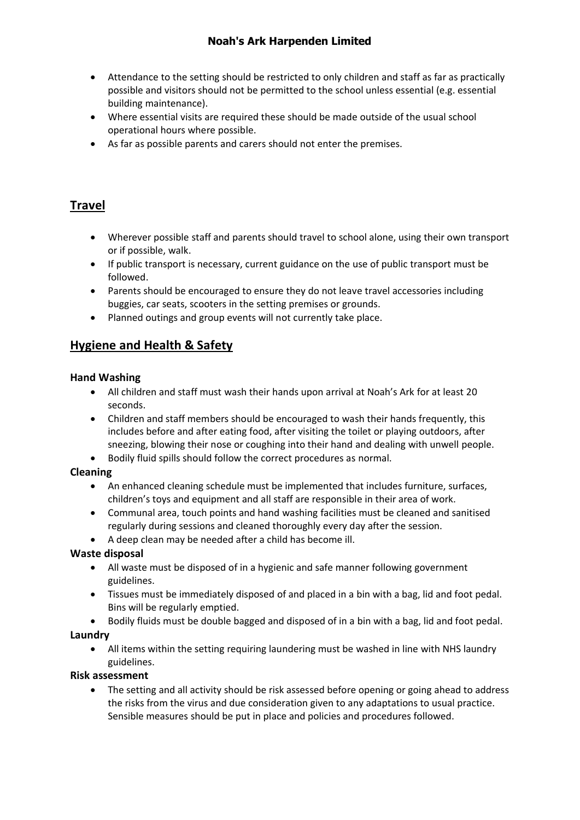- Attendance to the setting should be restricted to only children and staff as far as practically possible and visitors should not be permitted to the school unless essential (e.g. essential building maintenance).
- Where essential visits are required these should be made outside of the usual school operational hours where possible.
- As far as possible parents and carers should not enter the premises.

# **Travel**

- Wherever possible staff and parents should travel to school alone, using their own transport or if possible, walk.
- If public transport is necessary, current guidance on the use of public transport must be followed.
- Parents should be encouraged to ensure they do not leave travel accessories including buggies, car seats, scooters in the setting premises or grounds.
- Planned outings and group events will not currently take place.

# **Hygiene and Health & Safety**

### **Hand Washing**

- All children and staff must wash their hands upon arrival at Noah's Ark for at least 20 seconds.
- Children and staff members should be encouraged to wash their hands frequently, this includes before and after eating food, after visiting the toilet or playing outdoors, after sneezing, blowing their nose or coughing into their hand and dealing with unwell people.
- Bodily fluid spills should follow the correct procedures as normal.

### **Cleaning**

- An enhanced cleaning schedule must be implemented that includes furniture, surfaces, children's toys and equipment and all staff are responsible in their area of work.
- Communal area, touch points and hand washing facilities must be cleaned and sanitised regularly during sessions and cleaned thoroughly every day after the session.
- A deep clean may be needed after a child has become ill.

### **Waste disposal**

- All waste must be disposed of in a hygienic and safe manner following government guidelines.
- Tissues must be immediately disposed of and placed in a bin with a bag, lid and foot pedal. Bins will be regularly emptied.
- Bodily fluids must be double bagged and disposed of in a bin with a bag, lid and foot pedal.

#### **Laundry**

• All items within the setting requiring laundering must be washed in line with NHS laundry guidelines.

#### **Risk assessment**

• The setting and all activity should be risk assessed before opening or going ahead to address the risks from the virus and due consideration given to any adaptations to usual practice. Sensible measures should be put in place and policies and procedures followed.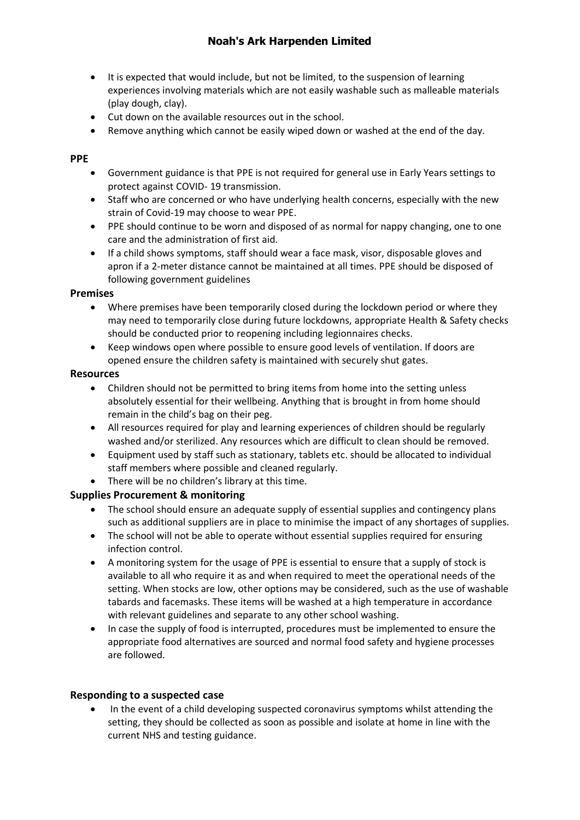- It is expected that would include, but not be limited, to the suspension of learning experiences involving materials which are not easily washable such as malleable materials (play dough, clay).
- Cut down on the available resources out in the school.
- Remove anything which cannot be easily wiped down or washed at the end of the day.

#### **PPE**

- Government guidance is that PPE is not required for general use in Early Years settings to protect against COVID- 19 transmission.
- Staff who are concerned or who have underlying health concerns, especially with the new strain of Covid-19 may choose to wear PPE.
- PPE should continue to be worn and disposed of as normal for nappy changing, one to one care and the administration of first aid.
- If a child shows symptoms, staff should wear a face mask, visor, disposable gloves and apron if a 2-meter distance cannot be maintained at all times. PPE should be disposed of following government guidelines

#### **Premises**

- Where premises have been temporarily closed during the lockdown period or where they may need to temporarily close during future lockdowns, appropriate Health & Safety checks should be conducted prior to reopening including legionnaires checks.
- Keep windows open where possible to ensure good levels of ventilation. If doors are opened ensure the children safety is maintained with securely shut gates.

#### **Resources**

- Children should not be permitted to bring items from home into the setting unless absolutely essential for their wellbeing. Anything that is brought in from home should remain in the child's bag on their peg.
- All resources required for play and learning experiences of children should be regularly washed and/or sterilized. Any resources which are difficult to clean should be removed.
- Equipment used by staff such as stationary, tablets etc. should be allocated to individual staff members where possible and cleaned regularly.
- There will be no children's library at this time.

#### **Supplies Procurement & monitoring**

- The school should ensure an adequate supply of essential supplies and contingency plans such as additional suppliers are in place to minimise the impact of any shortages of supplies.
- The school will not be able to operate without essential supplies required for ensuring infection control.
- A monitoring system for the usage of PPE is essential to ensure that a supply of stock is available to all who require it as and when required to meet the operational needs of the setting. When stocks are low, other options may be considered, such as the use of washable tabards and facemasks. These items will be washed at a high temperature in accordance with relevant guidelines and separate to any other school washing.
- In case the supply of food is interrupted, procedures must be implemented to ensure the appropriate food alternatives are sourced and normal food safety and hygiene processes are followed.

#### **Responding to a suspected case**

• In the event of a child developing suspected coronavirus symptoms whilst attending the setting, they should be collected as soon as possible and isolate at home in line with the current NHS and testing guidance.